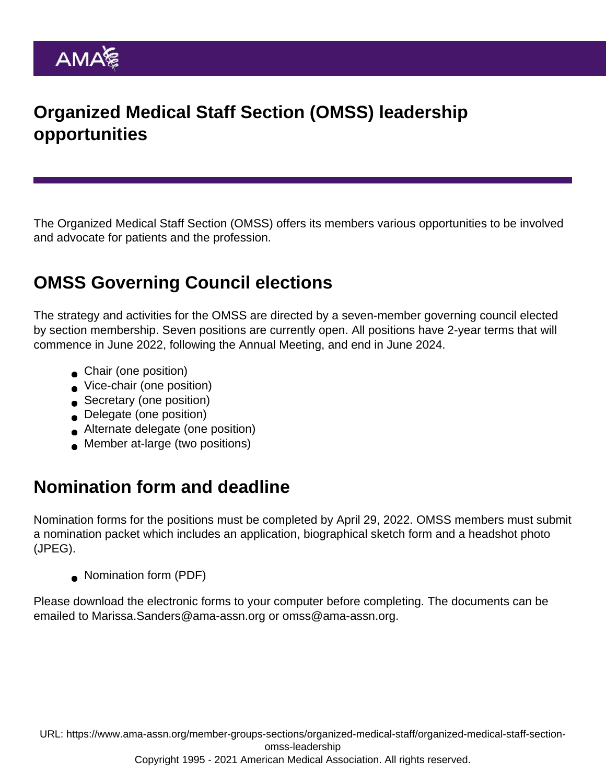## Organized Medical Staff Section (OMSS) leadership opportunities

The Organized Medical Staff Section (OMSS) offers its members various opportunities to be involved and advocate for patients and the profession.

# OMSS Governing Council elections

The strategy and activities for the OMSS are directed by a [seven-member governing council](https://www.ama-assn.org/member-groups-sections/organized-medical-staff/organized-medical-staff-section-omss-governing) elected by section membership. Seven positions are currently open. All positions have 2-year terms that will commence in June 2022, following the Annual Meeting, and end in June 2024.

- **Chair (one position)**
- Vice-chair (one position)
- Secretary (one position)
- Delegate (one position)
- Alternate delegate (one position)
- **Member at-large (two positions)**

## Nomination form and deadline

Nomination forms for the positions must be completed by April 29, 2022. OMSS members must submit a nomination packet which includes an application, biographical sketch form and a headshot photo (JPEG).

• [Nomination form](https://www.ama-assn.org/system/files/omss-nomination-form.pdf) (PDF)

Please download the electronic forms to your computer before completing. The documents can be emailed to [Marissa.Sanders@ama-assn.org](mailto:Marissa.Sanders@ama-assn.org) or [omss@ama-assn.org.](mailto:omss@ama-assn.org)

URL: [https://www.ama-assn.org/member-groups-sections/organized-medical-staff/organized-medical-staff-section](https://www.ama-assn.org/member-groups-sections/organized-medical-staff/organized-medical-staff-section-omss-leadership)[omss-leadership](https://www.ama-assn.org/member-groups-sections/organized-medical-staff/organized-medical-staff-section-omss-leadership)